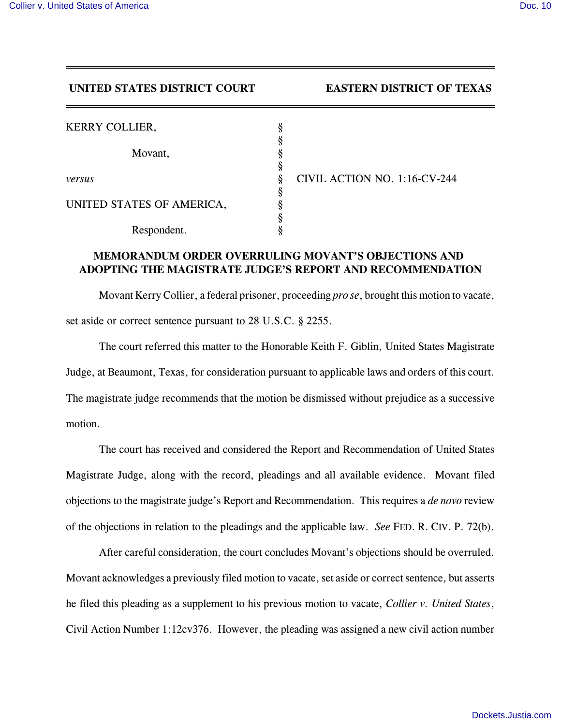**UNITED STATES DISTRICT COURT EASTERN DISTRICT OF TEXAS** 

| <b>KERRY COLLIER,</b>     |                              |
|---------------------------|------------------------------|
|                           |                              |
| Movant,                   |                              |
| versus                    | CIVIL ACTION NO. 1:16-CV-244 |
|                           |                              |
| UNITED STATES OF AMERICA, |                              |
|                           |                              |
| Respondent.               |                              |

## **MEMORANDUM ORDER OVERRULING MOVANT'S OBJECTIONS AND ADOPTING THE MAGISTRATE JUDGE'S REPORT AND RECOMMENDATION**

Movant Kerry Collier, a federal prisoner, proceeding *pro se*, brought this motion to vacate, set aside or correct sentence pursuant to 28 U.S.C. § 2255.

The court referred this matter to the Honorable Keith F. Giblin, United States Magistrate Judge, at Beaumont, Texas, for consideration pursuant to applicable laws and orders of this court. The magistrate judge recommends that the motion be dismissed without prejudice as a successive motion.

The court has received and considered the Report and Recommendation of United States Magistrate Judge, along with the record, pleadings and all available evidence. Movant filed objections to the magistrate judge's Report and Recommendation. This requires a *de novo* review of the objections in relation to the pleadings and the applicable law. *See* FED. R. CIV. P. 72(b).

After careful consideration, the court concludes Movant's objections should be overruled. Movant acknowledges a previously filed motion to vacate, set aside or correct sentence, but asserts he filed this pleading as a supplement to his previous motion to vacate, *Collier v. United States*, Civil Action Number 1:12cv376. However, the pleading was assigned a new civil action number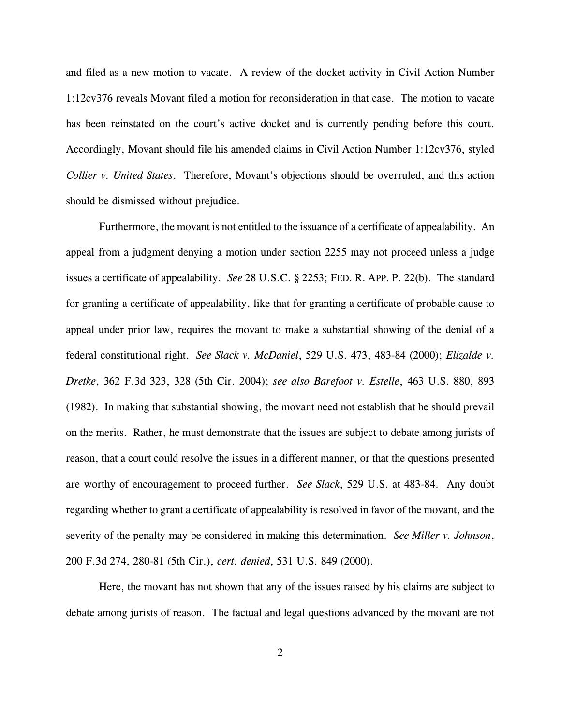and filed as a new motion to vacate. A review of the docket activity in Civil Action Number 1:12cv376 reveals Movant filed a motion for reconsideration in that case. The motion to vacate has been reinstated on the court's active docket and is currently pending before this court. Accordingly, Movant should file his amended claims in Civil Action Number 1:12cv376, styled *Collier v. United States*. Therefore, Movant's objections should be overruled, and this action should be dismissed without prejudice.

Furthermore, the movant is not entitled to the issuance of a certificate of appealability. An appeal from a judgment denying a motion under section 2255 may not proceed unless a judge issues a certificate of appealability. *See* 28 U.S.C. § 2253; FED. R. APP. P. 22(b). The standard for granting a certificate of appealability, like that for granting a certificate of probable cause to appeal under prior law, requires the movant to make a substantial showing of the denial of a federal constitutional right. *See Slack v. McDaniel*, 529 U.S. 473, 483-84 (2000); *Elizalde v. Dretke*, 362 F.3d 323, 328 (5th Cir. 2004); *see also Barefoot v. Estelle*, 463 U.S. 880, 893 (1982). In making that substantial showing, the movant need not establish that he should prevail on the merits. Rather, he must demonstrate that the issues are subject to debate among jurists of reason, that a court could resolve the issues in a different manner, or that the questions presented are worthy of encouragement to proceed further. *See Slack*, 529 U.S. at 483-84. Any doubt regarding whether to grant a certificate of appealability is resolved in favor of the movant, and the severity of the penalty may be considered in making this determination. *See Miller v. Johnson*, 200 F.3d 274, 280-81 (5th Cir.), *cert. denied*, 531 U.S. 849 (2000).

Here, the movant has not shown that any of the issues raised by his claims are subject to debate among jurists of reason. The factual and legal questions advanced by the movant are not